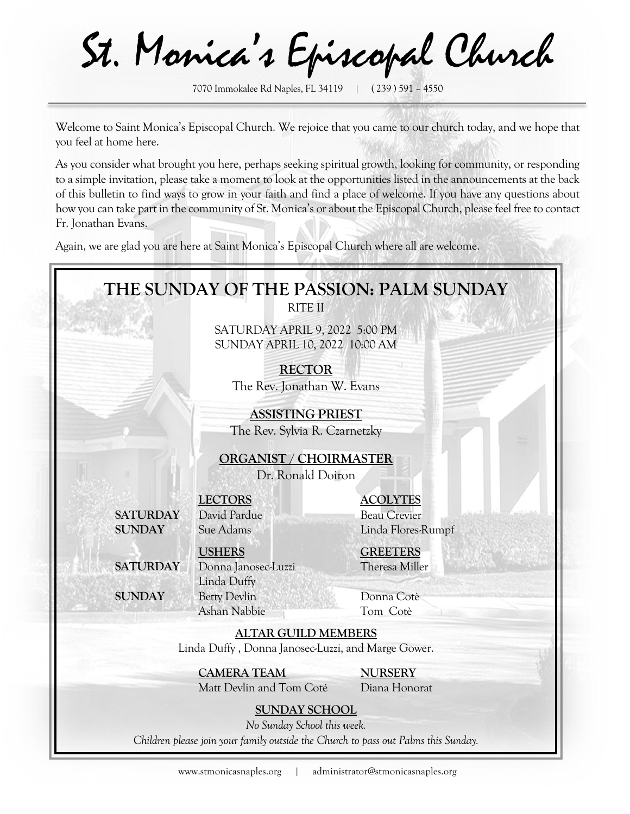St. Monica's Episcopal Church

Welcome to Saint Monica's Episcopal Church. We rejoice that you came to our church today, and we hope that you feel at home here.

As you consider what brought you here, perhaps seeking spiritual growth, looking for community, or responding to a simple invitation, please take a moment to look at the opportunities listed in the announcements at the back of this bulletin to find ways to grow in your faith and find a place of welcome. If you have any questions about how you can take part in the community of St. Monica's or about the Episcopal Church, please feel free to contact Fr. Jonathan Evans.

Again, we are glad you are here at Saint Monica's Episcopal Church where all are welcome.



<sup>7070</sup> Immokalee Rd Naples, FL 34119 | ( 239 ) 591 – 4550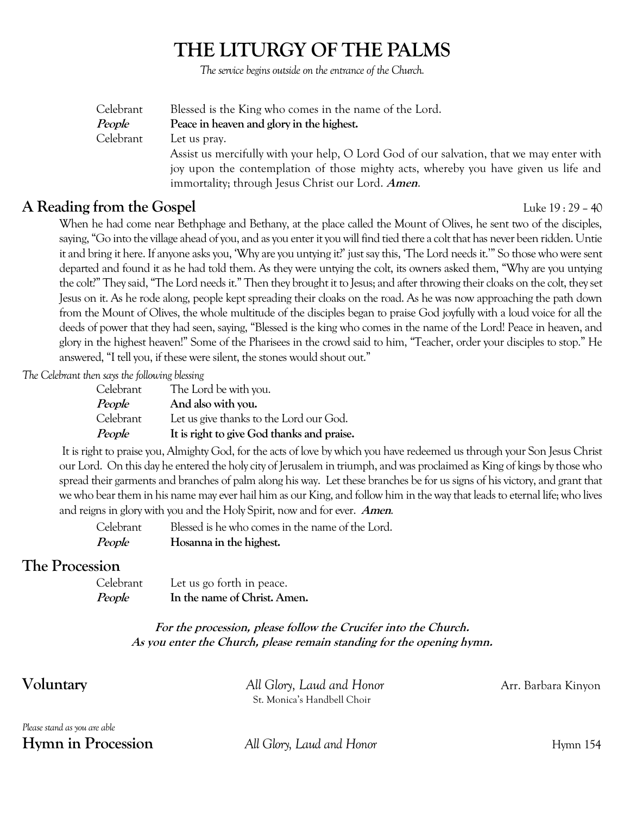# **THE LITURGY OF THE PALMS**

The service begins outside on the entrance of the Church.

| Celebrant | Blessed is the King who comes in the name of the Lord.                                   |
|-----------|------------------------------------------------------------------------------------------|
| People    | Peace in heaven and glory in the highest.                                                |
| Celebrant | Let us pray.                                                                             |
|           | Assist us mercifully with your help, O Lord God of our salvation, that we may enter with |
|           | joy upon the contemplation of those mighty acts, whereby you have given us life and      |
|           | immortality; through Jesus Christ our Lord. Amen.                                        |

## **A Reading from the Gospel** Luke 19 : 29 – 40

When he had come near Bethphage and Bethany, at the place called the Mount of Olives, he sent two of the disciples, saying, "Go into the village ahead of you, and as you enter it you will find tied there a colt that has never been ridden. Untie it and bring it here. If anyone asks you, 'Why are you untying it?' just say this, 'The Lord needs it.'" So those who were sent departed and found it as he had told them. As they were untying the colt, its owners asked them, "Why are you untying the colt?" They said, "The Lord needs it." Then they brought it to Jesus; and after throwing their cloaks on the colt, they set Jesus on it. As he rode along, people kept spreading their cloaks on the road. As he was now approaching the path down from the Mount of Olives, the whole multitude of the disciples began to praise God joyfully with a loud voice for all the deeds of power that they had seen, saying, "Blessed is the king who comes in the name of the Lord! Peace in heaven, and glory in the highest heaven!" Some of the Pharisees in the crowd said to him, "Teacher, order your disciples to stop." He answered, "I tell you, if these were silent, the stones would shout out."

*The Celebrant then says the following blessing*

| Celebrant | The Lord be with you.                      |
|-----------|--------------------------------------------|
| People    | And also with you.                         |
| Celebrant | Let us give thanks to the Lord our God.    |
| People    | It is right to give God thanks and praise. |

It is right to praise you, Almighty God, for the acts of love by which you have redeemed us through your Son Jesus Christ our Lord. On this day he entered the holy city of Jerusalem in triumph, and was proclaimed as King of kings by those who spread their garments and branches of palm along his way. Let these branches be for us signs of his victory, and grant that we who bear them in his name may ever hail him as our King, and follow him in the way that leads to eternal life; who lives and reigns in glory with you and the Holy Spirit, now and for ever. **Amen**.

| Celebrant | Blessed is he who comes in the name of the Lord. |
|-----------|--------------------------------------------------|
| People    | Hosanna in the highest.                          |

## **The Procession**

| Celebrant | Let us go forth in peace.    |
|-----------|------------------------------|
| People    | In the name of Christ. Amen. |

#### **For the procession, please follow the Crucifer into the Church. As you enter the Church, please remain standing for the opening hymn.**

| Voluntary                 | All Glory, Laud and Honor   | Arr. Barbara Kinyon |
|---------------------------|-----------------------------|---------------------|
|                           | St. Monica's Handbell Choir |                     |
| $\mathbf{M}$ $\mathbf{I}$ |                             |                     |

*Please stand as you are able* **Hymn in Procession** *All Glory, Laud and Honor Hymn* 154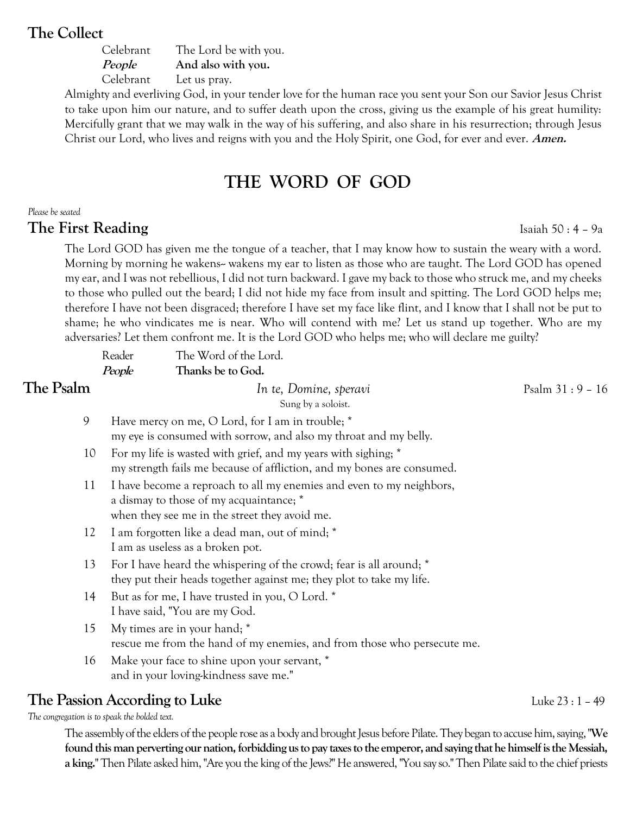## **The Collect**

| Celebrant     | The Lord be with you. |
|---------------|-----------------------|
| <i>People</i> | And also with you.    |
| Celebrant     | Let us pray.          |

Almighty and everliving God, in your tender love for the human race you sent your Son our Savior Jesus Christ to take upon him our nature, and to suffer death upon the cross, giving us the example of his great humility: Mercifully grant that we may walk in the way of his suffering, and also share in his resurrection; through Jesus Christ our Lord, who lives and reigns with you and the Holy Spirit, one God, for ever and ever. **Amen.**

## **THE WORD OF GOD**

#### *Please be seated*

#### **The First Reading** Isaiah 50 : 4 – 9a

The Lord GOD has given me the tongue of a teacher, that I may know how to sustain the weary with a word. Morning by morning he wakens-- wakens my ear to listen as those who are taught. The Lord GOD has opened my ear, and I was not rebellious, I did not turn backward. I gave my back to those who struck me, and my cheeks to those who pulled out the beard; I did not hide my face from insult and spitting. The Lord GOD helps me; therefore I have not been disgraced; therefore I have set my face like flint, and I know that I shall not be put to shame; he who vindicates me is near. Who will contend with me? Let us stand up together. Who are my adversaries? Let them confront me. It is the Lord GOD who helps me; who will declare me guilty?

|           | Reader | The Word of the Lord.                                                                                                                                            |                   |
|-----------|--------|------------------------------------------------------------------------------------------------------------------------------------------------------------------|-------------------|
|           | People | Thanks be to God.                                                                                                                                                |                   |
| The Psalm |        | In te, Domine, speravi<br>Sung by a soloist.                                                                                                                     | Psalm $31:9 - 16$ |
| 9         |        | Have mercy on me, O Lord, for I am in trouble; *<br>my eye is consumed with sorrow, and also my throat and my belly.                                             |                   |
| 10        |        | For my life is wasted with grief, and my years with sighing; *<br>my strength fails me because of affliction, and my bones are consumed.                         |                   |
| 11        |        | I have become a reproach to all my enemies and even to my neighbors,<br>a dismay to those of my acquaintance; *<br>when they see me in the street they avoid me. |                   |
| 12        |        | I am forgotten like a dead man, out of mind; *<br>I am as useless as a broken pot.                                                                               |                   |
| 13        |        | For I have heard the whispering of the crowd; fear is all around; *<br>they put their heads together against me; they plot to take my life.                      |                   |
| 14        |        | But as for me, I have trusted in you, O Lord. *<br>I have said, "You are my God.                                                                                 |                   |
| 15        |        | My times are in your hand; *<br>rescue me from the hand of my enemies, and from those who persecute me.                                                          |                   |
| 16        |        | Make your face to shine upon your servant, *<br>and in your loving-kindness save me."                                                                            |                   |

## **The Passion According to Luke Luke Luke 23** : 1 – 49

*The congregation is to speak the bolded text.*

The assembly of the elders of the people rose as a body and brought Jesus before Pilate. They began to accuse him, saying, "**We found this man perverting our nation, forbidding us to pay taxes to the emperor, and saying that he himself is the Messiah, a king.**" Then Pilate asked him, "Are you the king of the Jews?" He answered, "You say so." Then Pilate said to the chief priests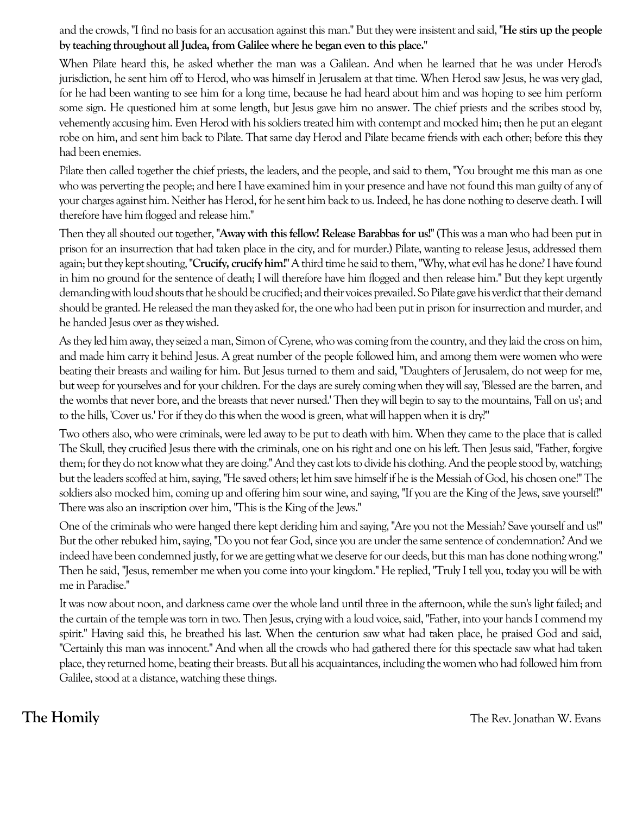and the crowds, "I find no basis for an accusation against this man." But they were insistent and said, "**He stirs up the people by teaching throughout all Judea, from Galilee where he began even to this place."**

When Pilate heard this, he asked whether the man was a Galilean. And when he learned that he was under Herod's jurisdiction, he sent him off to Herod, who was himself in Jerusalem at that time. When Herod saw Jesus, he was very glad, for he had been wanting to see him for a long time, because he had heard about him and was hoping to see him perform some sign. He questioned him at some length, but Jesus gave him no answer. The chief priests and the scribes stood by, vehemently accusing him. Even Herod with his soldiers treated him with contempt and mocked him; then he put an elegant robe on him, and sent him back to Pilate. That same day Herod and Pilate became friends with each other; before this they had been enemies.

Pilate then called together the chief priests, the leaders, and the people, and said to them, "You brought me this man as one who was perverting the people; and here I have examined him in your presence and have not found this man guilty of any of your charges against him. Neither has Herod, for he sent him back to us. Indeed, he has done nothing to deserve death. I will therefore have him flogged and release him."

Then they all shouted out together, "**Away with this fellow! Release Barabbas for us!**" (This was a man who had been put in prison for an insurrection that had taken place in the city, and for murder.) Pilate, wanting to release Jesus, addressed them again; but they kept shouting, "**Crucify, crucify him!**" A third time he said to them, "Why, what evil has he done? I have found in him no ground for the sentence of death; I will therefore have him flogged and then release him." But they kept urgently demanding with loud shouts that he should be crucified; and their voices prevailed. So Pilate gave his verdict that their demand should be granted. He released the man they asked for, the one who had been put in prison for insurrection and murder, and he handed Jesus over as they wished.

As they led him away, they seized a man, Simon of Cyrene, who was coming from the country, and they laid the cross on him, and made him carry it behind Jesus. A great number of the people followed him, and among them were women who were beating their breasts and wailing for him. But Jesus turned to them and said, "Daughters of Jerusalem, do not weep for me, but weep for yourselves and for your children. For the days are surely coming when they will say, 'Blessed are the barren, and the wombs that never bore, and the breasts that never nursed.' Then they will begin to say to the mountains, 'Fall on us'; and to the hills, 'Cover us.' For if they do this when the wood is green, what will happen when it is dry?"

Two others also, who were criminals, were led away to be put to death with him. When they came to the place that is called The Skull, they crucified Jesus there with the criminals, one on his right and one on his left. Then Jesus said, "Father, forgive them; for they do not know what they are doing." And they cast lots to divide his clothing. And the people stood by, watching; but the leaders scoffed at him, saying, "He saved others; let him save himself if he is the Messiah of God, his chosen one!" The soldiers also mocked him, coming up and offering him sour wine, and saying, "If you are the King of the Jews, save yourself!" There was also an inscription over him, "This is the King of the Jews."

One of the criminals who were hanged there kept deriding him and saying, "Are you not the Messiah? Save yourself and us!" But the other rebuked him, saying, "Do you not fear God, since you are under the same sentence of condemnation? And we indeed have been condemned justly, for we are getting what we deserve for our deeds, but this man has done nothing wrong." Then he said, "Jesus, remember me when you come into your kingdom." He replied, "Truly I tell you, today you will be with me in Paradise."

It was now about noon, and darkness came over the whole land until three in the afternoon, while the sun's light failed; and the curtain of the temple was torn in two. Then Jesus, crying with a loud voice, said, "Father, into your hands I commend my spirit." Having said this, he breathed his last. When the centurion saw what had taken place, he praised God and said, "Certainly this man was innocent." And when all the crowds who had gathered there for this spectacle saw what had taken place, they returned home, beating their breasts. But all his acquaintances, including the women who had followed him from Galilee, stood at a distance, watching these things.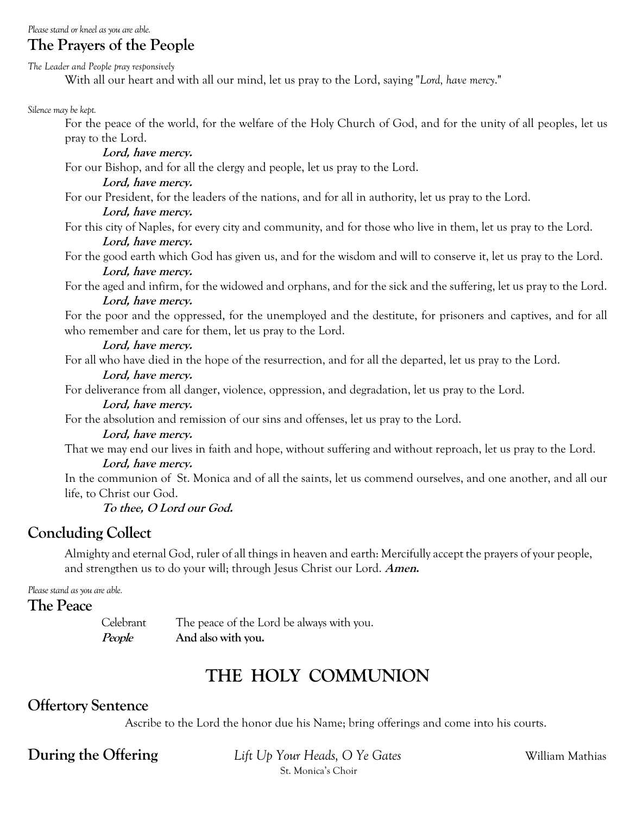*Please stand or kneel as you are able.*

## **The Prayers of the People**

*The Leader and People pray responsively*

With all our heart and with all our mind, let us pray to the Lord, saying "*Lord, have mercy*."

*Silence may be kept.*

For the peace of the world, for the welfare of the Holy Church of God, and for the unity of all peoples, let us pray to the Lord.

**Lord, have mercy.**

For our Bishop, and for all the clergy and people, let us pray to the Lord.

#### **Lord, have mercy.**

For our President, for the leaders of the nations, and for all in authority, let us pray to the Lord.

#### **Lord, have mercy.**

For this city of Naples, for every city and community, and for those who live in them, let us pray to the Lord.

#### **Lord, have mercy.**

For the good earth which God has given us, and for the wisdom and will to conserve it, let us pray to the Lord. **Lord, have mercy.**

For the aged and infirm, for the widowed and orphans, and for the sick and the suffering, let us pray to the Lord. **Lord, have mercy.**

For the poor and the oppressed, for the unemployed and the destitute, for prisoners and captives, and for all who remember and care for them, let us pray to the Lord.

#### **Lord, have mercy.**

For all who have died in the hope of the resurrection, and for all the departed, let us pray to the Lord.

#### **Lord, have mercy.**

For deliverance from all danger, violence, oppression, and degradation, let us pray to the Lord.

## **Lord, have mercy.**

For the absolution and remission of our sins and offenses, let us pray to the Lord.

#### **Lord, have mercy.**

That we may end our lives in faith and hope, without suffering and without reproach, let us pray to the Lord.

#### **Lord, have mercy.**

In the communion of St. Monica and of all the saints, let us commend ourselves, and one another, and all our life, to Christ our God.

#### **To thee, O Lord our God.**

## **Concluding Collect**

Almighty and eternal God, ruler of all things in heaven and earth: Mercifully accept the prayers of your people, and strengthen us to do your will; through Jesus Christ our Lord. **Amen.**

*Please stand as you are able.*

#### **The Peace**

Celebrant The peace of the Lord be always with you. **People And also with you.**

# **THE HOLY COMMUNION**

## **Offertory Sentence**

Ascribe to the Lord the honor due his Name; bring offerings and come into his courts.

**During the Offering** *Lift Up Your Heads, O Ye Gates William Mathias* St. Monica's Choir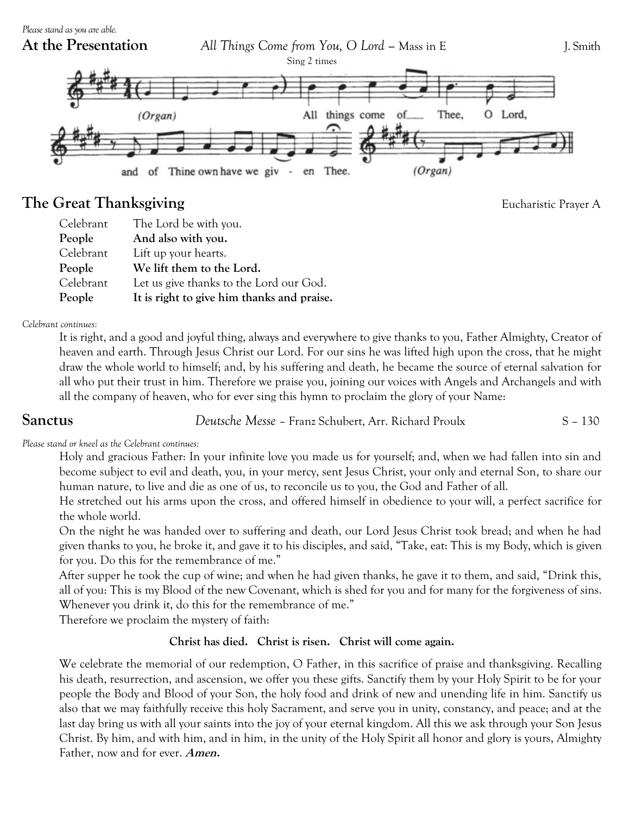

## **The Great Thanksgiving**<br> **Eucharistic Prayer A**

| Celebrant | The Lord be with you.                      |
|-----------|--------------------------------------------|
| People    | And also with you.                         |
| Celebrant | Lift up your hearts.                       |
| People    | We lift them to the Lord.                  |
| Celebrant | Let us give thanks to the Lord our God.    |
| People    | It is right to give him thanks and praise. |

#### *Celebrant continues:*

It is right, and a good and joyful thing, always and everywhere to give thanks to you, Father Almighty, Creator of heaven and earth. Through Jesus Christ our Lord. For our sins he was lifted high upon the cross, that he might draw the whole world to himself; and, by his suffering and death, he became the source of eternal salvation for all who put their trust in him. Therefore we praise you, joining our voices with Angels and Archangels and with all the company of heaven, who for ever sing this hymn to proclaim the glory of your Name:

**Sanctus** *Deutsche Messe* – Franz Schubert, Arr. Richard Proulx S – 130

#### *Please stand or kneel as the Celebrant continues:*

Holy and gracious Father: In your infinite love you made us for yourself; and, when we had fallen into sin and become subject to evil and death, you, in your mercy, sent Jesus Christ, your only and eternal Son, to share our human nature, to live and die as one of us, to reconcile us to you, the God and Father of all.

He stretched out his arms upon the cross, and offered himself in obedience to your will, a perfect sacrifice for the whole world.

On the night he was handed over to suffering and death, our Lord Jesus Christ took bread; and when he had given thanks to you, he broke it, and gave it to his disciples, and said, "Take, eat: This is my Body, which is given for you. Do this for the remembrance of me."

After supper he took the cup of wine; and when he had given thanks, he gave it to them, and said, "Drink this, all of you: This is my Blood of the new Covenant, which is shed for you and for many for the forgiveness of sins. Whenever you drink it, do this for the remembrance of me."

Therefore we proclaim the mystery of faith:

### **Christ has died. Christ is risen. Christ will come again.**

We celebrate the memorial of our redemption, O Father, in this sacrifice of praise and thanksgiving. Recalling his death, resurrection, and ascension, we offer you these gifts. Sanctify them by your Holy Spirit to be for your people the Body and Blood of your Son, the holy food and drink of new and unending life in him. Sanctify us also that we may faithfully receive this holy Sacrament, and serve you in unity, constancy, and peace; and at the last day bring us with all your saints into the joy of your eternal kingdom. All this we ask through your Son Jesus Christ. By him, and with him, and in him, in the unity of the Holy Spirit all honor and glory is yours, Almighty Father, now and for ever. **Amen.**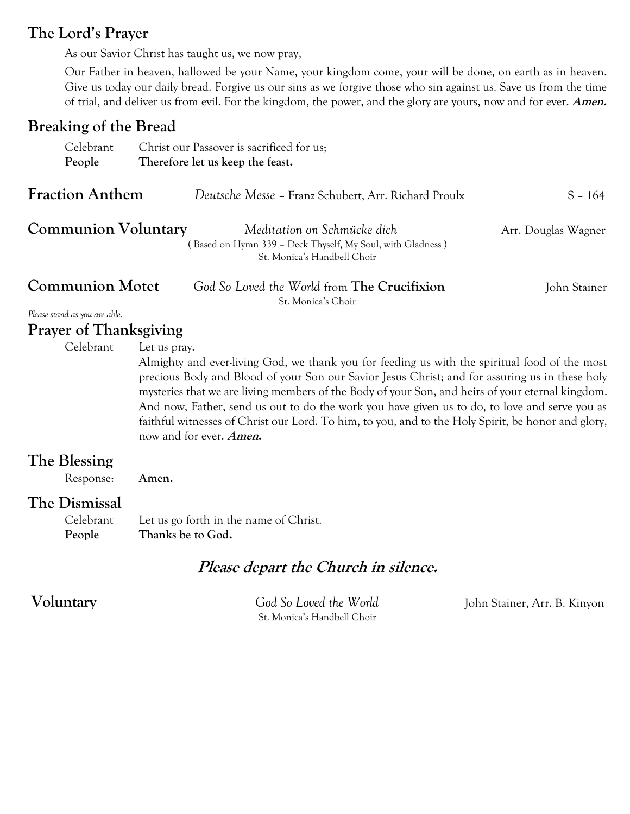## **The Lord's Prayer**

As our Savior Christ has taught us, we now pray,

Our Father in heaven, hallowed be your Name, your kingdom come, your will be done, on earth as in heaven. Give us today our daily bread. Forgive us our sins as we forgive those who sin against us. Save us from the time of trial, and deliver us from evil. For the kingdom, the power, and the glory are yours, now and for ever. **Amen.**

## **Breaking of the Bread**

| Celebrant                     | Christ our Passover is sacrificed for us;                                                                                                                                                                                                                                                                                                                                                                                                                                                                                                             |
|-------------------------------|-------------------------------------------------------------------------------------------------------------------------------------------------------------------------------------------------------------------------------------------------------------------------------------------------------------------------------------------------------------------------------------------------------------------------------------------------------------------------------------------------------------------------------------------------------|
| People                        | Therefore let us keep the feast.                                                                                                                                                                                                                                                                                                                                                                                                                                                                                                                      |
| <b>Fraction Anthem</b>        | Deutsche Messe - Franz Schubert, Arr. Richard Proulx<br>$S - 164$                                                                                                                                                                                                                                                                                                                                                                                                                                                                                     |
| <b>Communion Voluntary</b>    | Meditation on Schmücke dich<br>Arr. Douglas Wagner<br>(Based on Hymn 339 - Deck Thyself, My Soul, with Gladness)<br>St. Monica's Handbell Choir                                                                                                                                                                                                                                                                                                                                                                                                       |
| <b>Communion Motet</b>        | God So Loved the World from <b>The Crucifixion</b><br>John Stainer<br>St. Monica's Choir                                                                                                                                                                                                                                                                                                                                                                                                                                                              |
| Please stand as you are able. |                                                                                                                                                                                                                                                                                                                                                                                                                                                                                                                                                       |
| <b>Prayer of Thanksgiving</b> |                                                                                                                                                                                                                                                                                                                                                                                                                                                                                                                                                       |
| Celebrant                     | Let us pray.<br>Almighty and ever-living God, we thank you for feeding us with the spiritual food of the most<br>precious Body and Blood of your Son our Savior Jesus Christ; and for assuring us in these holy<br>mysteries that we are living members of the Body of your Son, and heirs of your eternal kingdom.<br>And now, Father, send us out to do the work you have given us to do, to love and serve you as<br>faithful witnesses of Christ our Lord. To him, to you, and to the Holy Spirit, be honor and glory,<br>now and for ever. Amen. |
| The Blessing<br>Response:     | Amen.                                                                                                                                                                                                                                                                                                                                                                                                                                                                                                                                                 |
| The Dismissal                 |                                                                                                                                                                                                                                                                                                                                                                                                                                                                                                                                                       |
| Celebrant<br>People           | Let us go forth in the name of Christ.<br>Thanks be to God.                                                                                                                                                                                                                                                                                                                                                                                                                                                                                           |
|                               | Please depart the Church in silence.                                                                                                                                                                                                                                                                                                                                                                                                                                                                                                                  |

St. Monica's Handbell Choir

**Voluntary** *God So Loved the World* John Stainer, Arr. B. Kinyon